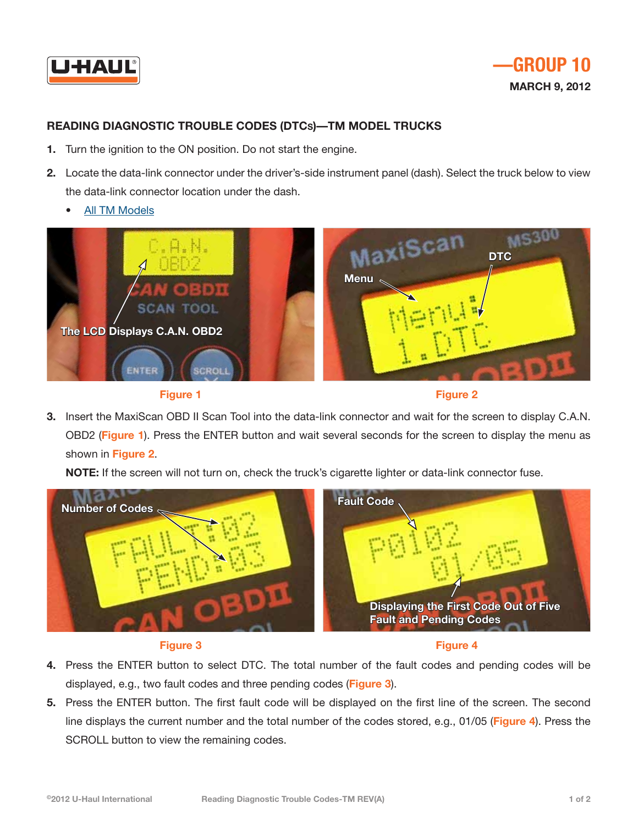



## **Reading Diagnostic Trouble Codes (DTCs)—TM Model Trucks**

- **1.** Turn the ignition to the ON position. Do not start the engine.
- **2.** Locate the data-link connector under the driver's-side instrument panel (dash). Select the truck below to view the data-link connector location under the dash.
	- • [All TM Models](http://repair.uhaul.com/images/DTCInstructions/ReaderConnectionImage-TM-ABCDGJKMN.pdf)





**Figure 2**

**3.** Insert the MaxiScan OBD II Scan Tool into the data-link connector and wait for the screen to display C.A.N. OBD2 (**Figure 1**). Press the ENTER button and wait several seconds for the screen to display the menu as shown in **Figure 2**.

**NOTE:** If the screen will not turn on, check the truck's cigarette lighter or data-link connector fuse.



## **Figure 3**

**Figure 4**

- **4.** Press the ENTER button to select DTC. The total number of the fault codes and pending codes will be displayed, e.g., two fault codes and three pending codes (**Figure 3**).
- **5.** Press the ENTER button. The first fault code will be displayed on the first line of the screen. The second line displays the current number and the total number of the codes stored, e.g., 01/05 (**Figure 4**). Press the SCROLL button to view the remaining codes.